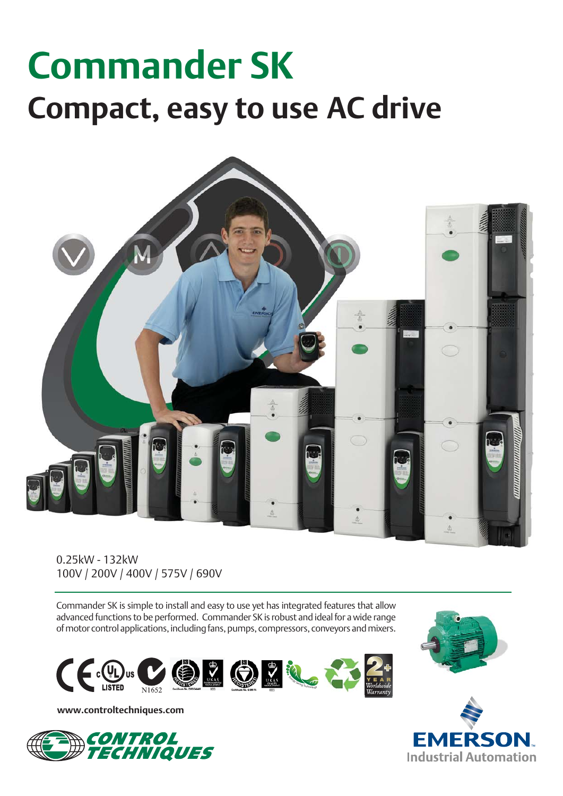# **Commander SK Compact, easy to use AC drive**



0.25kW - 132kW 100V / 200V / 400V / 575V / 690V

Commander SK is simple to install and easy to use yet has integrated features that allow advanced functions to be performed. Commander SK is robust and ideal for a wide range of motor control applications, including fans, pumps, compressors, conveyors and mixers.



**www.controltechniques.com**